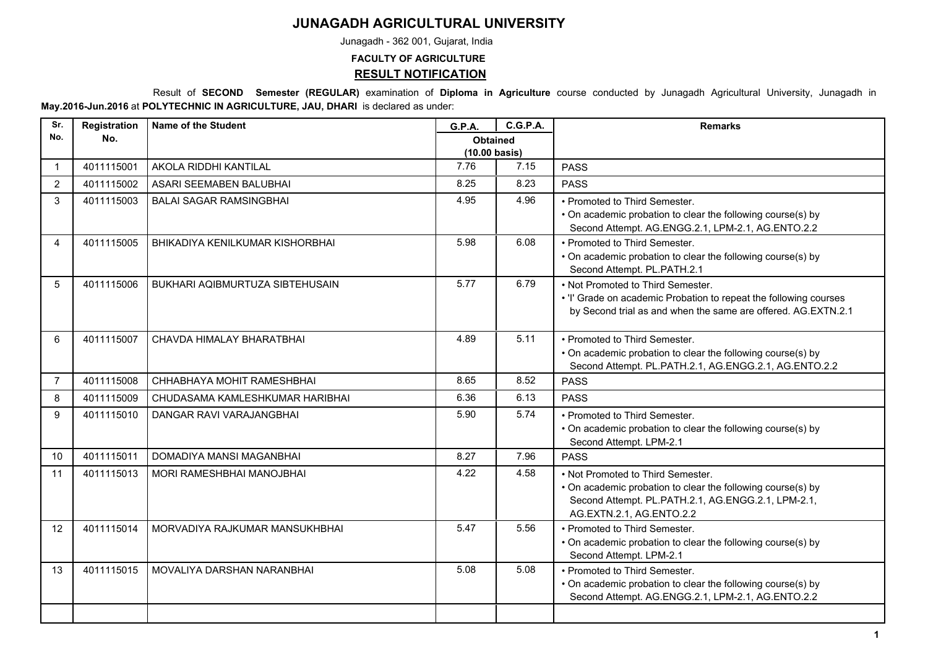## **JUNAGADH AGRICULTURAL UNIVERSITY**

Junagadh - 362 001, Gujarat, India

## **FACULTY OF AGRICULTURE**

**RESULT NOTIFICATION**

 Result of **SECOND Semester (REGULAR)** examination of **Diploma in Agriculture** course conducted by Junagadh Agricultural University, Junagadh in **May.2016-Jun.2016** at **POLYTECHNIC IN AGRICULTURE, JAU, DHARI** is declared as under:

| Sr.            | Registration | Name of the Student              | G.P.A.                                     | <b>C.G.P.A.</b> | <b>Remarks</b>                                                                                                                                                                     |
|----------------|--------------|----------------------------------|--------------------------------------------|-----------------|------------------------------------------------------------------------------------------------------------------------------------------------------------------------------------|
| No.            | No.          |                                  | <b>Obtained</b><br>$(10.00 \text{ basis})$ |                 |                                                                                                                                                                                    |
| $\mathbf{1}$   | 4011115001   | AKOLA RIDDHI KANTILAL            | 7.76                                       | 7.15            | <b>PASS</b>                                                                                                                                                                        |
| $\overline{2}$ | 4011115002   | ASARI SEEMABEN BALUBHAI          | 8.25                                       | 8.23            | <b>PASS</b>                                                                                                                                                                        |
| 3              | 4011115003   | <b>BALAI SAGAR RAMSINGBHAI</b>   | 4.95                                       | 4.96            | • Promoted to Third Semester.<br>• On academic probation to clear the following course(s) by<br>Second Attempt. AG.ENGG.2.1, LPM-2.1, AG.ENTO.2.2                                  |
| 4              | 4011115005   | BHIKADIYA KENILKUMAR KISHORBHAI  | 5.98                                       | 6.08            | • Promoted to Third Semester.<br>• On academic probation to clear the following course(s) by<br>Second Attempt. PL.PATH.2.1                                                        |
| 5              | 4011115006   | BUKHARI AQIBMURTUZA SIBTEHUSAIN  | 5.77                                       | 6.79            | • Not Promoted to Third Semester.<br>. 'I' Grade on academic Probation to repeat the following courses<br>by Second trial as and when the same are offered. AG.EXTN.2.1            |
| 6              | 4011115007   | CHAVDA HIMALAY BHARATBHAI        | 4.89                                       | 5.11            | • Promoted to Third Semester.<br>• On academic probation to clear the following course(s) by<br>Second Attempt. PL.PATH.2.1, AG.ENGG.2.1, AG.ENTO.2.2                              |
| $\overline{7}$ | 4011115008   | CHHABHAYA MOHIT RAMESHBHAI       | 8.65                                       | 8.52            | <b>PASS</b>                                                                                                                                                                        |
| 8              | 4011115009   | CHUDASAMA KAMLESHKUMAR HARIBHAI  | 6.36                                       | 6.13            | <b>PASS</b>                                                                                                                                                                        |
| 9              | 4011115010   | DANGAR RAVI VARAJANGBHAI         | 5.90                                       | 5.74            | • Promoted to Third Semester.<br>• On academic probation to clear the following course(s) by<br>Second Attempt. LPM-2.1                                                            |
| 10             | 4011115011   | DOMADIYA MANSI MAGANBHAI         | 8.27                                       | 7.96            | <b>PASS</b>                                                                                                                                                                        |
| 11             | 4011115013   | <b>MORI RAMESHBHAI MANOJBHAI</b> | 4.22                                       | 4.58            | • Not Promoted to Third Semester.<br>• On academic probation to clear the following course(s) by<br>Second Attempt. PL.PATH.2.1, AG.ENGG.2.1, LPM-2.1,<br>AG.EXTN.2.1, AG.ENTO.2.2 |
| 12             | 4011115014   | MORVADIYA RAJKUMAR MANSUKHBHAI   | 5.47                                       | 5.56            | • Promoted to Third Semester.<br>• On academic probation to clear the following course(s) by<br>Second Attempt. LPM-2.1                                                            |
| 13             | 4011115015   | MOVALIYA DARSHAN NARANBHAI       | 5.08                                       | 5.08            | • Promoted to Third Semester.<br>• On academic probation to clear the following course(s) by<br>Second Attempt. AG.ENGG.2.1, LPM-2.1, AG.ENTO.2.2                                  |
|                |              |                                  |                                            |                 |                                                                                                                                                                                    |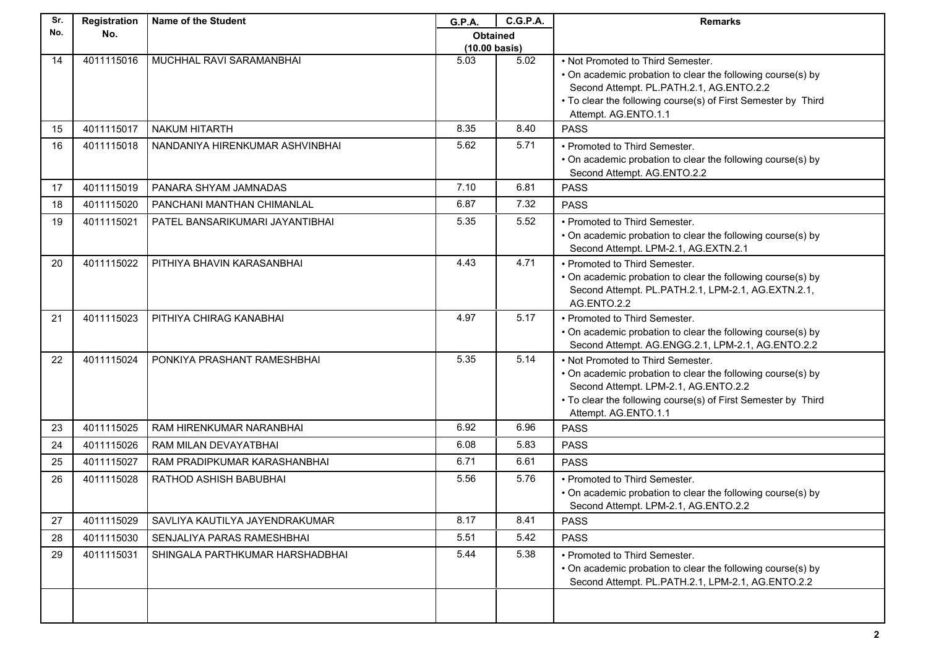| Sr. | Registration | <b>Name of the Student</b>      | G.P.A.                          | <b>C.G.P.A.</b> | <b>Remarks</b>                                                                                                                                                                                                                        |
|-----|--------------|---------------------------------|---------------------------------|-----------------|---------------------------------------------------------------------------------------------------------------------------------------------------------------------------------------------------------------------------------------|
| No. | No.          |                                 | <b>Obtained</b>                 |                 |                                                                                                                                                                                                                                       |
|     | 4011115016   |                                 | $(10.00 \text{ basis})$<br>5.03 | 5.02            |                                                                                                                                                                                                                                       |
| 14  |              | MUCHHAL RAVI SARAMANBHAI        |                                 |                 | • Not Promoted to Third Semester.<br>• On academic probation to clear the following course(s) by<br>Second Attempt. PL.PATH.2.1, AG.ENTO.2.2<br>• To clear the following course(s) of First Semester by Third<br>Attempt. AG.ENTO.1.1 |
| 15  | 4011115017   | NAKUM HITARTH                   | 8.35                            | 8.40            | <b>PASS</b>                                                                                                                                                                                                                           |
| 16  | 4011115018   | NANDANIYA HIRENKUMAR ASHVINBHAI | 5.62                            | 5.71            | • Promoted to Third Semester.<br>• On academic probation to clear the following course(s) by<br>Second Attempt. AG.ENTO.2.2                                                                                                           |
| 17  | 4011115019   | PANARA SHYAM JAMNADAS           | 7.10                            | 6.81            | <b>PASS</b>                                                                                                                                                                                                                           |
| 18  | 4011115020   | PANCHANI MANTHAN CHIMANLAL      | 6.87                            | 7.32            | <b>PASS</b>                                                                                                                                                                                                                           |
| 19  | 4011115021   | PATEL BANSARIKUMARI JAYANTIBHAI | 5.35                            | 5.52            | • Promoted to Third Semester.<br>• On academic probation to clear the following course(s) by<br>Second Attempt. LPM-2.1, AG.EXTN.2.1                                                                                                  |
| 20  | 4011115022   | PITHIYA BHAVIN KARASANBHAI      | 4.43                            | 4.71            | • Promoted to Third Semester.<br>• On academic probation to clear the following course(s) by<br>Second Attempt. PL.PATH.2.1, LPM-2.1, AG.EXTN.2.1,<br>AG.ENTO.2.2                                                                     |
| 21  | 4011115023   | PITHIYA CHIRAG KANABHAI         | 4.97                            | 5.17            | • Promoted to Third Semester.<br>• On academic probation to clear the following course(s) by<br>Second Attempt. AG.ENGG.2.1, LPM-2.1, AG.ENTO.2.2                                                                                     |
| 22  | 4011115024   | PONKIYA PRASHANT RAMESHBHAI     | 5.35                            | 5.14            | . Not Promoted to Third Semester.<br>• On academic probation to clear the following course(s) by<br>Second Attempt. LPM-2.1, AG.ENTO.2.2<br>• To clear the following course(s) of First Semester by Third<br>Attempt. AG.ENTO.1.1     |
| 23  | 4011115025   | RAM HIRENKUMAR NARANBHAI        | 6.92                            | 6.96            | <b>PASS</b>                                                                                                                                                                                                                           |
| 24  | 4011115026   | RAM MILAN DEVAYATBHAI           | 6.08                            | 5.83            | <b>PASS</b>                                                                                                                                                                                                                           |
| 25  | 4011115027   | RAM PRADIPKUMAR KARASHANBHAI    | 6.71                            | 6.61            | <b>PASS</b>                                                                                                                                                                                                                           |
| 26  | 4011115028   | RATHOD ASHISH BABUBHAI          | 5.56                            | 5.76            | • Promoted to Third Semester.<br>• On academic probation to clear the following course(s) by<br>Second Attempt. LPM-2.1, AG.ENTO.2.2                                                                                                  |
| 27  | 4011115029   | SAVLIYA KAUTILYA JAYENDRAKUMAR  | 8.17                            | 8.41            | <b>PASS</b>                                                                                                                                                                                                                           |
| 28  | 4011115030   | SENJALIYA PARAS RAMESHBHAI      | 5.51                            | 5.42            | <b>PASS</b>                                                                                                                                                                                                                           |
| 29  | 4011115031   | SHINGALA PARTHKUMAR HARSHADBHAI | 5.44                            | 5.38            | • Promoted to Third Semester.<br>• On academic probation to clear the following course(s) by<br>Second Attempt. PL.PATH.2.1, LPM-2.1, AG.ENTO.2.2                                                                                     |
|     |              |                                 |                                 |                 |                                                                                                                                                                                                                                       |